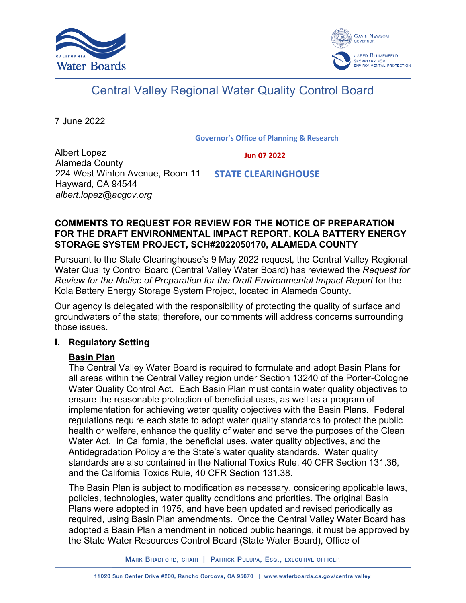



# Central Valley Regional Water Quality Control Board

7 June 2022

**Governor's Office of Planning & Research**

Albert Lopez Alameda County 224 West Winton Avenue, Room 11 Hayward, CA 94544 *albert.lopez@acgov.org*

#### **Jun 07 2022**

 **STATE CLEARINGHOUSE**

## **COMMENTS TO REQUEST FOR REVIEW FOR THE NOTICE OF PREPARATION FOR THE DRAFT ENVIRONMENTAL IMPACT REPORT, KOLA BATTERY ENERGY STORAGE SYSTEM PROJECT, SCH#2022050170, ALAMEDA COUNTY**

Pursuant to the State Clearinghouse's 9 May 2022 request, the Central Valley Regional Water Quality Control Board (Central Valley Water Board) has reviewed the *Request for Review for the Notice of Preparation for the Draft Environmental Impact Report* for the Kola Battery Energy Storage System Project, located in Alameda County.

Our agency is delegated with the responsibility of protecting the quality of surface and groundwaters of the state; therefore, our comments will address concerns surrounding those issues.

## **I. Regulatory Setting**

# **Basin Plan**

The Central Valley Water Board is required to formulate and adopt Basin Plans for all areas within the Central Valley region under Section 13240 of the Porter-Cologne Water Quality Control Act. Each Basin Plan must contain water quality objectives to ensure the reasonable protection of beneficial uses, as well as a program of implementation for achieving water quality objectives with the Basin Plans. Federal regulations require each state to adopt water quality standards to protect the public health or welfare, enhance the quality of water and serve the purposes of the Clean Water Act. In California, the beneficial uses, water quality objectives, and the Antidegradation Policy are the State's water quality standards. Water quality standards are also contained in the National Toxics Rule, 40 CFR Section 131.36, and the California Toxics Rule, 40 CFR Section 131.38.

The Basin Plan is subject to modification as necessary, considering applicable laws, policies, technologies, water quality conditions and priorities. The original Basin Plans were adopted in 1975, and have been updated and revised periodically as required, using Basin Plan amendments. Once the Central Valley Water Board has adopted a Basin Plan amendment in noticed public hearings, it must be approved by the State Water Resources Control Board (State Water Board), Office of

MARK BRADFORD, CHAIR | PATRICK PULUPA, ESQ., EXECUTIVE OFFICER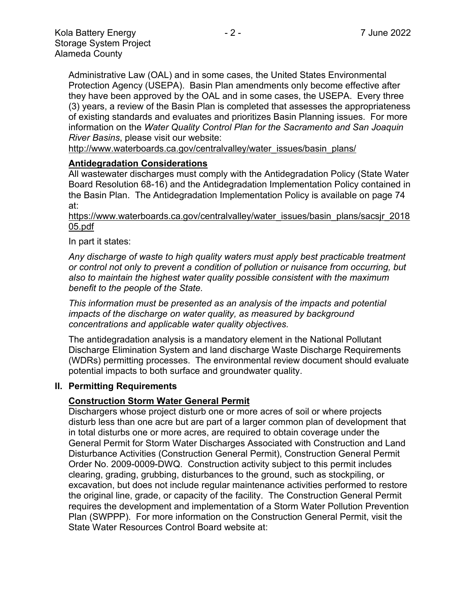Administrative Law (OAL) and in some cases, the United States Environmental Protection Agency (USEPA). Basin Plan amendments only become effective after they have been approved by the OAL and in some cases, the USEPA. Every three (3) years, a review of the Basin Plan is completed that assesses the appropriateness of existing standards and evaluates and prioritizes Basin Planning issues. For more information on the *Water Quality Control Plan for the Sacramento and San Joaquin River Basins*, please visit our website:

[http://www.waterboards.ca.gov/centralvalley/water\\_issues/basin\\_plans/](http://www.waterboards.ca.gov/centralvalley/water_issues/basin_plans/)

#### **Antidegradation Considerations**

All wastewater discharges must comply with the Antidegradation Policy (State Water Board Resolution 68-16) and the Antidegradation Implementation Policy contained in the Basin Plan. The Antidegradation Implementation Policy is available on page 74 at:

https://www.waterboards.ca.gov/centralvalley/water\_issues/basin\_plans/sacsjr\_2018 05.pdf

In part it states:

*Any discharge of waste to high quality waters must apply best practicable treatment or control not only to prevent a condition of pollution or nuisance from occurring, but also to maintain the highest water quality possible consistent with the maximum benefit to the people of the State.*

*This information must be presented as an analysis of the impacts and potential impacts of the discharge on water quality, as measured by background concentrations and applicable water quality objectives.*

The antidegradation analysis is a mandatory element in the National Pollutant Discharge Elimination System and land discharge Waste Discharge Requirements (WDRs) permitting processes. The environmental review document should evaluate potential impacts to both surface and groundwater quality.

#### **II. Permitting Requirements**

## **Construction Storm Water General Permit**

Dischargers whose project disturb one or more acres of soil or where projects disturb less than one acre but are part of a larger common plan of development that in total disturbs one or more acres, are required to obtain coverage under the General Permit for Storm Water Discharges Associated with Construction and Land Disturbance Activities (Construction General Permit), Construction General Permit Order No. 2009-0009-DWQ. Construction activity subject to this permit includes clearing, grading, grubbing, disturbances to the ground, such as stockpiling, or excavation, but does not include regular maintenance activities performed to restore the original line, grade, or capacity of the facility. The Construction General Permit requires the development and implementation of a Storm Water Pollution Prevention Plan (SWPPP). For more information on the Construction General Permit, visit the State Water Resources Control Board website at: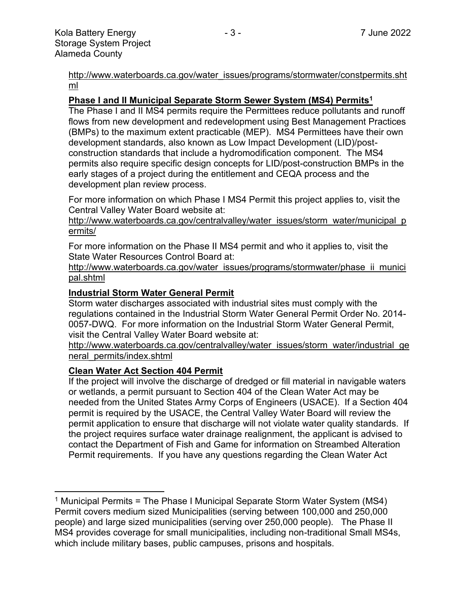[http://www.waterboards.ca.gov/water\\_issues/programs/stormwater/constpermits.sht](http://www.waterboards.ca.gov/water_issues/programs/stormwater/constpermits.shtml) [ml](http://www.waterboards.ca.gov/water_issues/programs/stormwater/constpermits.shtml)

## **Phase I and II Municipal Separate Storm Sewer System (MS4) Permits<sup>1</sup>**

The Phase I and II MS4 permits require the Permittees reduce pollutants and runoff flows from new development and redevelopment using Best Management Practices (BMPs) to the maximum extent practicable (MEP). MS4 Permittees have their own development standards, also known as Low Impact Development (LID)/postconstruction standards that include a hydromodification component. The MS4 permits also require specific design concepts for LID/post-construction BMPs in the early stages of a project during the entitlement and CEQA process and the development plan review process.

For more information on which Phase I MS4 Permit this project applies to, visit the Central Valley Water Board website at:

http://www.waterboards.ca.gov/centralvalley/water\_issues/storm\_water/municipal\_p ermits/

For more information on the Phase II MS4 permit and who it applies to, visit the State Water Resources Control Board at:

http://www.waterboards.ca.gov/water\_issues/programs/stormwater/phase\_ii\_munici pal.shtml

## **Industrial Storm Water General Permit**

Storm water discharges associated with industrial sites must comply with the regulations contained in the Industrial Storm Water General Permit Order No. 2014- 0057-DWQ. For more information on the Industrial Storm Water General Permit, visit the Central Valley Water Board website at:

http://www.waterboards.ca.gov/centralvalley/water\_issues/storm\_water/industrial\_ge neral\_permits/index.shtml

## **Clean Water Act Section 404 Permit**

If the project will involve the discharge of dredged or fill material in navigable waters or wetlands, a permit pursuant to Section 404 of the Clean Water Act may be needed from the United States Army Corps of Engineers (USACE). If a Section 404 permit is required by the USACE, the Central Valley Water Board will review the permit application to ensure that discharge will not violate water quality standards. If the project requires surface water drainage realignment, the applicant is advised to contact the Department of Fish and Game for information on Streambed Alteration Permit requirements. If you have any questions regarding the Clean Water Act

<sup>&</sup>lt;sup>1</sup> Municipal Permits = The Phase I Municipal Separate Storm Water System (MS4) Permit covers medium sized Municipalities (serving between 100,000 and 250,000 people) and large sized municipalities (serving over 250,000 people). The Phase II MS4 provides coverage for small municipalities, including non-traditional Small MS4s, which include military bases, public campuses, prisons and hospitals.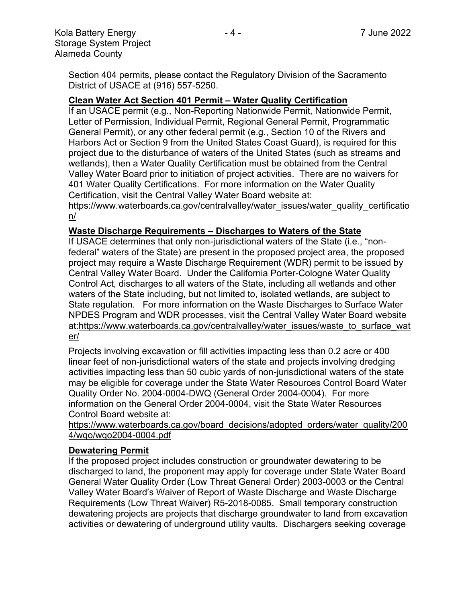Section 404 permits, please contact the Regulatory Division of the Sacramento District of USACE at (916) 557-5250.

## **Clean Water Act Section 401 Permit – Water Quality Certification**

If an USACE permit (e.g., Non-Reporting Nationwide Permit, Nationwide Permit, Letter of Permission, Individual Permit, Regional General Permit, Programmatic General Permit), or any other federal permit (e.g., Section 10 of the Rivers and Harbors Act or Section 9 from the United States Coast Guard), is required for this project due to the disturbance of waters of the United States (such as streams and wetlands), then a Water Quality Certification must be obtained from the Central Valley Water Board prior to initiation of project activities. There are no waivers for 401 Water Quality Certifications. For more information on the Water Quality Certification, visit the Central Valley Water Board website at:

https://www.waterboards.ca.gov/centralvalley/water\_issues/water\_quality\_certificatio n/

## **Waste Discharge Requirements – Discharges to Waters of the State**

If USACE determines that only non-jurisdictional waters of the State (i.e., "nonfederal" waters of the State) are present in the proposed project area, the proposed project may require a Waste Discharge Requirement (WDR) permit to be issued by Central Valley Water Board. Under the California Porter-Cologne Water Quality Control Act, discharges to all waters of the State, including all wetlands and other waters of the State including, but not limited to, isolated wetlands, are subject to State regulation. For more information on the Waste Discharges to Surface Water NPDES Program and WDR processes, visit the Central Valley Water Board website at:https://www.waterboards.ca.gov/centralvalley/water\_issues/waste\_to\_surface\_wat er/

Projects involving excavation or fill activities impacting less than 0.2 acre or 400 linear feet of non-jurisdictional waters of the state and projects involving dredging activities impacting less than 50 cubic yards of non-jurisdictional waters of the state may be eligible for coverage under the State Water Resources Control Board Water Quality Order No. 2004-0004-DWQ (General Order 2004-0004). For more information on the General Order 2004-0004, visit the State Water Resources Control Board website at:

https://www.waterboards.ca.gov/board\_decisions/adopted\_orders/water\_quality/200 4/wqo/wqo2004-0004.pdf

## **Dewatering Permit**

If the proposed project includes construction or groundwater dewatering to be discharged to land, the proponent may apply for coverage under State Water Board General Water Quality Order (Low Threat General Order) 2003-0003 or the Central Valley Water Board's Waiver of Report of Waste Discharge and Waste Discharge Requirements (Low Threat Waiver) R5-2018-0085. Small temporary construction dewatering projects are projects that discharge groundwater to land from excavation activities or dewatering of underground utility vaults. Dischargers seeking coverage